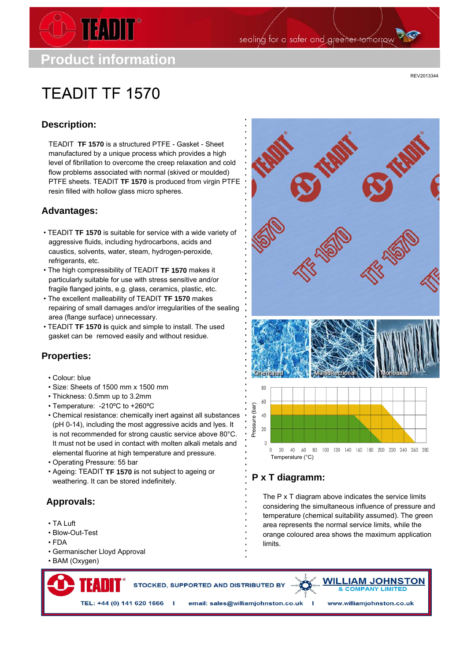

sealing for a safer and greener tomorrow

# **TFADIT TF 1570**

REV2013344

# **Description:**

TEADIT **TF 1570** is a structured PTFE - Gasket - Sheet manufactured by a unique process which provides a high level of fibrillation to overcome the creep relaxation and cold flow problems associated with normal (skived or moulded) PTFE sheets. TEADIT **TF 1570** is produced from virgin PTFE resin filled with hollow glass micro spheres.

#### **Advantages:**

- TEADIT **TF 1570** is suitable for service with a wide variety of aggressive fluids, including hydrocarbons, acids and caustics, solvents, water, steam, hydrogen-peroxide, refrigerants, etc.
- The high compressibility of TEADIT **TF 1570** makes it particularly suitable for use with stress sensitive and/or fragile flanged joints, e.g. glass, ceramics, plastic, etc.
- The excellent malleability of TEADIT **TF 1570** makes repairing of small damages and/or irregularities of the sealing area (flange surface) unnecessary.
- TEADIT **TF 1570 i**s quick and simple to install. The used gasket can be removed easily and without residue.

#### **Properties:**

- Colour: blue
- Size: Sheets of 1500 mm x 1500 mm
- Thickness: 0.5mm up to 3.2mm
- Temperature: -210ºC to +260ºC
- Chemical resistance: chemically inert against all substances (pH 0-14), including the most aggressive acids and lyes. It is not recommended for strong caustic service above 80°C. It must not be used in contact with molten alkali metals and elemental fluorine at high temperature and pressure.
- Operating Pressure: 55 bar
- Ageing: TEADIT **TF 1570 i**s not subject to ageing or weathering. It can be stored indefinitely.

## **Approvals:**

- TA Luft
- Blow-Out-Test
- FDA
- Germanischer Lloyd Approval
- BAM (Oxygen)



## **P x T diagramm:**

The P x T diagram above indicates the service limits considering the simultaneous influence of pressure and temperature (chemical suitability assumed). The green area represents the normal service limits, while the orange coloured area shows the maximum application limits.

STOCKED, SUPPORTED AND DISTRIBUTED BY



TEL: +44 (0) 141 620 1666 I email: sales@williamjohnston.co.uk I www.williamjohnston.co.uk

TEADIT Deutschland - Schanzenstr. 35, 51063 Köln, GERMANY, Tel.: +49-221-922 342-0, Fax: +49-221-922 342-22, germany@teadit.eu